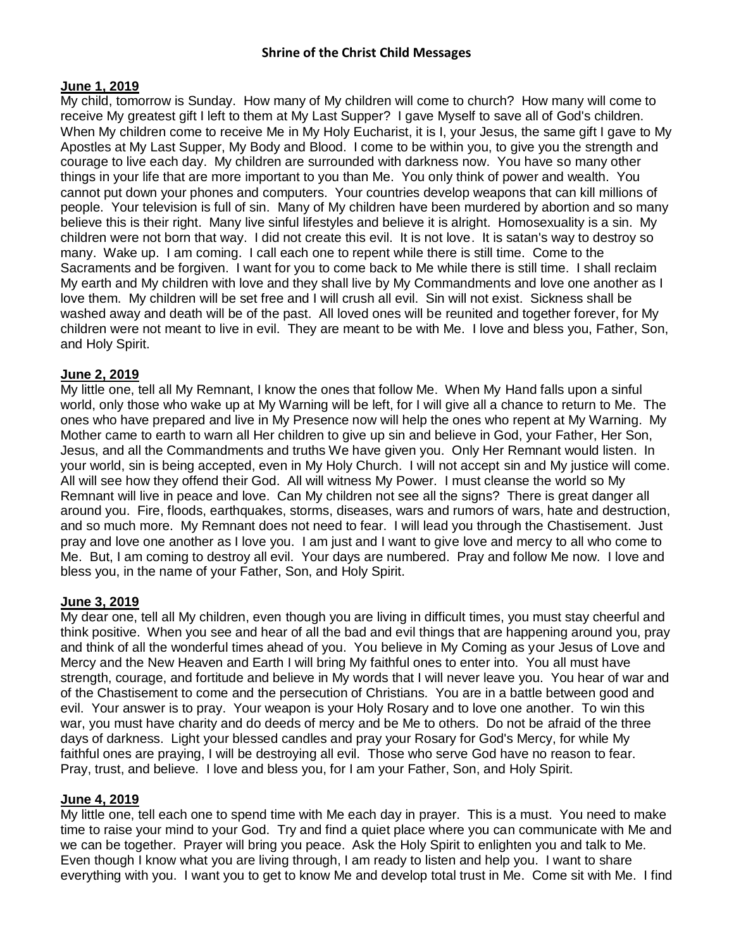# **June 1, 2019**

My child, tomorrow is Sunday. How many of My children will come to church? How many will come to receive My greatest gift I left to them at My Last Supper? I gave Myself to save all of God's children. When My children come to receive Me in My Holy Eucharist, it is I, your Jesus, the same gift I gave to My Apostles at My Last Supper, My Body and Blood. I come to be within you, to give you the strength and courage to live each day. My children are surrounded with darkness now. You have so many other things in your life that are more important to you than Me. You only think of power and wealth. You cannot put down your phones and computers. Your countries develop weapons that can kill millions of people. Your television is full of sin. Many of My children have been murdered by abortion and so many believe this is their right. Many live sinful lifestyles and believe it is alright. Homosexuality is a sin. My children were not born that way. I did not create this evil. It is not love. It is satan's way to destroy so many. Wake up. I am coming. I call each one to repent while there is still time. Come to the Sacraments and be forgiven. I want for you to come back to Me while there is still time. I shall reclaim My earth and My children with love and they shall live by My Commandments and love one another as I love them. My children will be set free and I will crush all evil. Sin will not exist. Sickness shall be washed away and death will be of the past. All loved ones will be reunited and together forever, for My children were not meant to live in evil. They are meant to be with Me. I love and bless you, Father, Son, and Holy Spirit.

# **June 2, 2019**

My little one, tell all My Remnant, I know the ones that follow Me. When My Hand falls upon a sinful world, only those who wake up at My Warning will be left, for I will give all a chance to return to Me. The ones who have prepared and live in My Presence now will help the ones who repent at My Warning. My Mother came to earth to warn all Her children to give up sin and believe in God, your Father, Her Son, Jesus, and all the Commandments and truths We have given you. Only Her Remnant would listen. In your world, sin is being accepted, even in My Holy Church. I will not accept sin and My justice will come. All will see how they offend their God. All will witness My Power. I must cleanse the world so My Remnant will live in peace and love. Can My children not see all the signs? There is great danger all around you. Fire, floods, earthquakes, storms, diseases, wars and rumors of wars, hate and destruction, and so much more. My Remnant does not need to fear. I will lead you through the Chastisement. Just pray and love one another as I love you. I am just and I want to give love and mercy to all who come to Me. But, I am coming to destroy all evil. Your days are numbered. Pray and follow Me now. I love and bless you, in the name of your Father, Son, and Holy Spirit.

### **June 3, 2019**

My dear one, tell all My children, even though you are living in difficult times, you must stay cheerful and think positive. When you see and hear of all the bad and evil things that are happening around you, pray and think of all the wonderful times ahead of you. You believe in My Coming as your Jesus of Love and Mercy and the New Heaven and Earth I will bring My faithful ones to enter into. You all must have strength, courage, and fortitude and believe in My words that I will never leave you. You hear of war and of the Chastisement to come and the persecution of Christians. You are in a battle between good and evil. Your answer is to pray. Your weapon is your Holy Rosary and to love one another. To win this war, you must have charity and do deeds of mercy and be Me to others. Do not be afraid of the three days of darkness. Light your blessed candles and pray your Rosary for God's Mercy, for while My faithful ones are praying, I will be destroying all evil. Those who serve God have no reason to fear. Pray, trust, and believe. I love and bless you, for I am your Father, Son, and Holy Spirit.

### **June 4, 2019**

My little one, tell each one to spend time with Me each day in prayer. This is a must. You need to make time to raise your mind to your God. Try and find a quiet place where you can communicate with Me and we can be together. Prayer will bring you peace. Ask the Holy Spirit to enlighten you and talk to Me. Even though I know what you are living through, I am ready to listen and help you. I want to share everything with you. I want you to get to know Me and develop total trust in Me. Come sit with Me. I find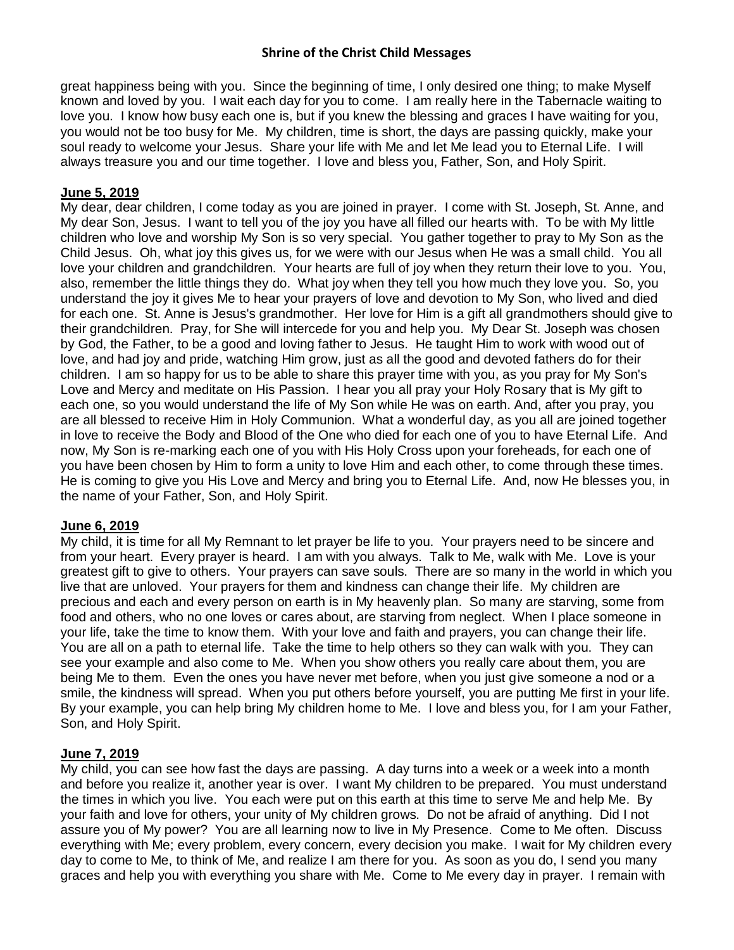great happiness being with you. Since the beginning of time, I only desired one thing; to make Myself known and loved by you. I wait each day for you to come. I am really here in the Tabernacle waiting to love you. I know how busy each one is, but if you knew the blessing and graces I have waiting for you, you would not be too busy for Me. My children, time is short, the days are passing quickly, make your soul ready to welcome your Jesus. Share your life with Me and let Me lead you to Eternal Life. I will always treasure you and our time together. I love and bless you, Father, Son, and Holy Spirit.

# **June 5, 2019**

My dear, dear children, I come today as you are joined in prayer. I come with St. Joseph, St. Anne, and My dear Son, Jesus. I want to tell you of the joy you have all filled our hearts with. To be with My little children who love and worship My Son is so very special. You gather together to pray to My Son as the Child Jesus. Oh, what joy this gives us, for we were with our Jesus when He was a small child. You all love your children and grandchildren. Your hearts are full of joy when they return their love to you. You, also, remember the little things they do. What joy when they tell you how much they love you. So, you understand the joy it gives Me to hear your prayers of love and devotion to My Son, who lived and died for each one. St. Anne is Jesus's grandmother. Her love for Him is a gift all grandmothers should give to their grandchildren. Pray, for She will intercede for you and help you. My Dear St. Joseph was chosen by God, the Father, to be a good and loving father to Jesus. He taught Him to work with wood out of love, and had joy and pride, watching Him grow, just as all the good and devoted fathers do for their children. I am so happy for us to be able to share this prayer time with you, as you pray for My Son's Love and Mercy and meditate on His Passion. I hear you all pray your Holy Rosary that is My gift to each one, so you would understand the life of My Son while He was on earth. And, after you pray, you are all blessed to receive Him in Holy Communion. What a wonderful day, as you all are joined together in love to receive the Body and Blood of the One who died for each one of you to have Eternal Life. And now, My Son is re-marking each one of you with His Holy Cross upon your foreheads, for each one of you have been chosen by Him to form a unity to love Him and each other, to come through these times. He is coming to give you His Love and Mercy and bring you to Eternal Life. And, now He blesses you, in the name of your Father, Son, and Holy Spirit.

# **June 6, 2019**

My child, it is time for all My Remnant to let prayer be life to you. Your prayers need to be sincere and from your heart. Every prayer is heard. I am with you always. Talk to Me, walk with Me. Love is your greatest gift to give to others. Your prayers can save souls. There are so many in the world in which you live that are unloved. Your prayers for them and kindness can change their life. My children are precious and each and every person on earth is in My heavenly plan. So many are starving, some from food and others, who no one loves or cares about, are starving from neglect. When I place someone in your life, take the time to know them. With your love and faith and prayers, you can change their life. You are all on a path to eternal life. Take the time to help others so they can walk with you. They can see your example and also come to Me. When you show others you really care about them, you are being Me to them. Even the ones you have never met before, when you just give someone a nod or a smile, the kindness will spread. When you put others before yourself, you are putting Me first in your life. By your example, you can help bring My children home to Me. I love and bless you, for I am your Father, Son, and Holy Spirit.

# **June 7, 2019**

My child, you can see how fast the days are passing. A day turns into a week or a week into a month and before you realize it, another year is over. I want My children to be prepared. You must understand the times in which you live. You each were put on this earth at this time to serve Me and help Me. By your faith and love for others, your unity of My children grows. Do not be afraid of anything. Did I not assure you of My power? You are all learning now to live in My Presence. Come to Me often. Discuss everything with Me; every problem, every concern, every decision you make. I wait for My children every day to come to Me, to think of Me, and realize I am there for you. As soon as you do, I send you many graces and help you with everything you share with Me. Come to Me every day in prayer. I remain with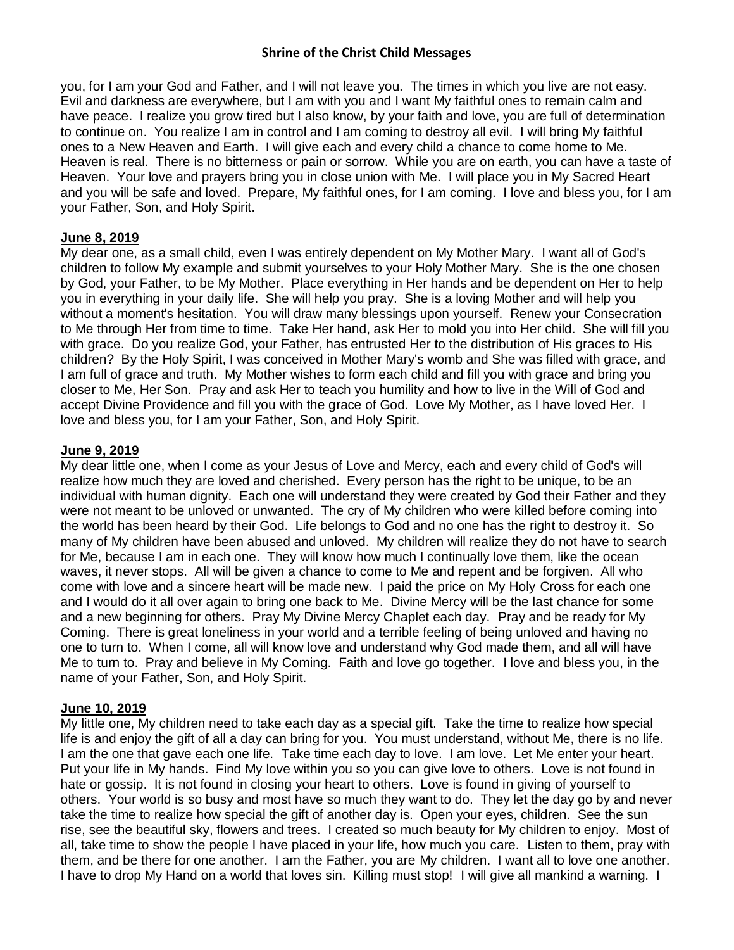you, for I am your God and Father, and I will not leave you. The times in which you live are not easy. Evil and darkness are everywhere, but I am with you and I want My faithful ones to remain calm and have peace. I realize you grow tired but I also know, by your faith and love, you are full of determination to continue on. You realize I am in control and I am coming to destroy all evil. I will bring My faithful ones to a New Heaven and Earth. I will give each and every child a chance to come home to Me. Heaven is real. There is no bitterness or pain or sorrow. While you are on earth, you can have a taste of Heaven. Your love and prayers bring you in close union with Me. I will place you in My Sacred Heart and you will be safe and loved. Prepare, My faithful ones, for I am coming. I love and bless you, for I am your Father, Son, and Holy Spirit.

# **June 8, 2019**

My dear one, as a small child, even I was entirely dependent on My Mother Mary. I want all of God's children to follow My example and submit yourselves to your Holy Mother Mary. She is the one chosen by God, your Father, to be My Mother. Place everything in Her hands and be dependent on Her to help you in everything in your daily life. She will help you pray. She is a loving Mother and will help you without a moment's hesitation. You will draw many blessings upon yourself. Renew your Consecration to Me through Her from time to time. Take Her hand, ask Her to mold you into Her child. She will fill you with grace. Do you realize God, your Father, has entrusted Her to the distribution of His graces to His children? By the Holy Spirit, I was conceived in Mother Mary's womb and She was filled with grace, and I am full of grace and truth. My Mother wishes to form each child and fill you with grace and bring you closer to Me, Her Son. Pray and ask Her to teach you humility and how to live in the Will of God and accept Divine Providence and fill you with the grace of God. Love My Mother, as I have loved Her. I love and bless you, for I am your Father, Son, and Holy Spirit.

## **June 9, 2019**

My dear little one, when I come as your Jesus of Love and Mercy, each and every child of God's will realize how much they are loved and cherished. Every person has the right to be unique, to be an individual with human dignity. Each one will understand they were created by God their Father and they were not meant to be unloved or unwanted. The cry of My children who were killed before coming into the world has been heard by their God. Life belongs to God and no one has the right to destroy it. So many of My children have been abused and unloved. My children will realize they do not have to search for Me, because I am in each one. They will know how much I continually love them, like the ocean waves, it never stops. All will be given a chance to come to Me and repent and be forgiven. All who come with love and a sincere heart will be made new. I paid the price on My Holy Cross for each one and I would do it all over again to bring one back to Me. Divine Mercy will be the last chance for some and a new beginning for others. Pray My Divine Mercy Chaplet each day. Pray and be ready for My Coming. There is great loneliness in your world and a terrible feeling of being unloved and having no one to turn to. When I come, all will know love and understand why God made them, and all will have Me to turn to. Pray and believe in My Coming. Faith and love go together. I love and bless you, in the name of your Father, Son, and Holy Spirit.

# **June 10, 2019**

My little one, My children need to take each day as a special gift. Take the time to realize how special life is and enjoy the gift of all a day can bring for you. You must understand, without Me, there is no life. I am the one that gave each one life. Take time each day to love. I am love. Let Me enter your heart. Put your life in My hands. Find My love within you so you can give love to others. Love is not found in hate or gossip. It is not found in closing your heart to others. Love is found in giving of yourself to others. Your world is so busy and most have so much they want to do. They let the day go by and never take the time to realize how special the gift of another day is. Open your eyes, children. See the sun rise, see the beautiful sky, flowers and trees. I created so much beauty for My children to enjoy. Most of all, take time to show the people I have placed in your life, how much you care. Listen to them, pray with them, and be there for one another. I am the Father, you are My children. I want all to love one another. I have to drop My Hand on a world that loves sin. Killing must stop! I will give all mankind a warning. I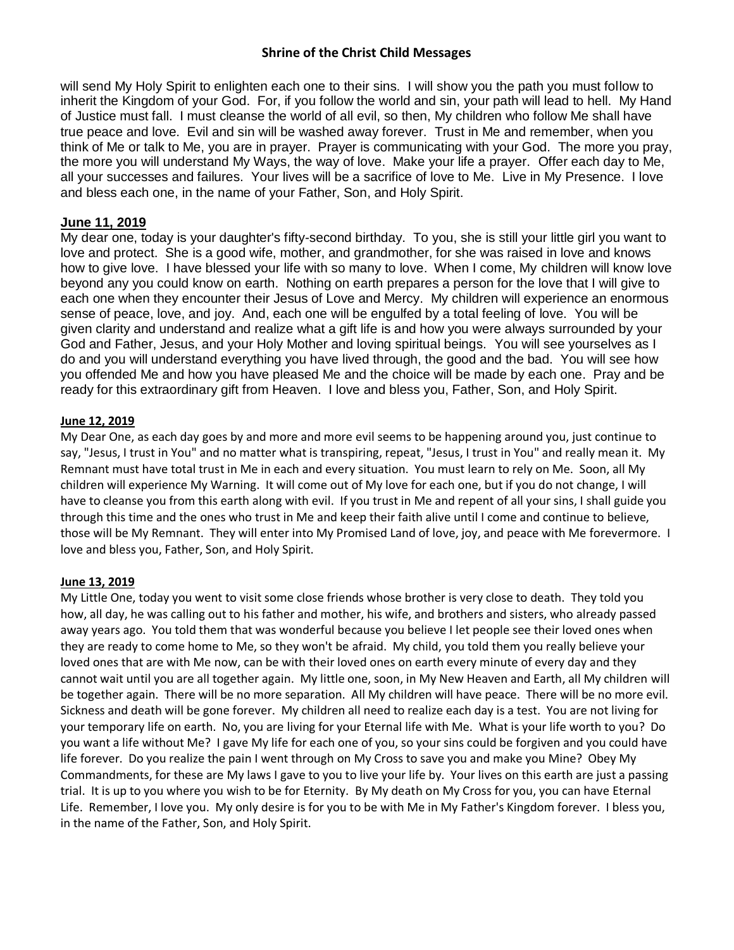will send My Holy Spirit to enlighten each one to their sins. I will show you the path you must follow to inherit the Kingdom of your God. For, if you follow the world and sin, your path will lead to hell. My Hand of Justice must fall. I must cleanse the world of all evil, so then, My children who follow Me shall have true peace and love. Evil and sin will be washed away forever. Trust in Me and remember, when you think of Me or talk to Me, you are in prayer. Prayer is communicating with your God. The more you pray, the more you will understand My Ways, the way of love. Make your life a prayer. Offer each day to Me, all your successes and failures. Your lives will be a sacrifice of love to Me. Live in My Presence. I love and bless each one, in the name of your Father, Son, and Holy Spirit.

## **June 11, 2019**

My dear one, today is your daughter's fifty-second birthday. To you, she is still your little girl you want to love and protect. She is a good wife, mother, and grandmother, for she was raised in love and knows how to give love. I have blessed your life with so many to love. When I come, My children will know love beyond any you could know on earth. Nothing on earth prepares a person for the love that I will give to each one when they encounter their Jesus of Love and Mercy. My children will experience an enormous sense of peace, love, and joy. And, each one will be engulfed by a total feeling of love. You will be given clarity and understand and realize what a gift life is and how you were always surrounded by your God and Father, Jesus, and your Holy Mother and loving spiritual beings. You will see yourselves as I do and you will understand everything you have lived through, the good and the bad. You will see how you offended Me and how you have pleased Me and the choice will be made by each one. Pray and be ready for this extraordinary gift from Heaven. I love and bless you, Father, Son, and Holy Spirit.

### **June 12, 2019**

My Dear One, as each day goes by and more and more evil seems to be happening around you, just continue to say, "Jesus, I trust in You" and no matter what is transpiring, repeat, "Jesus, I trust in You" and really mean it. My Remnant must have total trust in Me in each and every situation. You must learn to rely on Me. Soon, all My children will experience My Warning. It will come out of My love for each one, but if you do not change, I will have to cleanse you from this earth along with evil. If you trust in Me and repent of all your sins, I shall guide you through this time and the ones who trust in Me and keep their faith alive until I come and continue to believe, those will be My Remnant. They will enter into My Promised Land of love, joy, and peace with Me forevermore. I love and bless you, Father, Son, and Holy Spirit.

### **June 13, 2019**

My Little One, today you went to visit some close friends whose brother is very close to death. They told you how, all day, he was calling out to his father and mother, his wife, and brothers and sisters, who already passed away years ago. You told them that was wonderful because you believe I let people see their loved ones when they are ready to come home to Me, so they won't be afraid. My child, you told them you really believe your loved ones that are with Me now, can be with their loved ones on earth every minute of every day and they cannot wait until you are all together again. My little one, soon, in My New Heaven and Earth, all My children will be together again. There will be no more separation. All My children will have peace. There will be no more evil. Sickness and death will be gone forever. My children all need to realize each day is a test. You are not living for your temporary life on earth. No, you are living for your Eternal life with Me. What is your life worth to you? Do you want a life without Me? I gave My life for each one of you, so your sins could be forgiven and you could have life forever. Do you realize the pain I went through on My Cross to save you and make you Mine? Obey My Commandments, for these are My laws I gave to you to live your life by. Your lives on this earth are just a passing trial. It is up to you where you wish to be for Eternity. By My death on My Cross for you, you can have Eternal Life. Remember, I love you. My only desire is for you to be with Me in My Father's Kingdom forever. I bless you, in the name of the Father, Son, and Holy Spirit.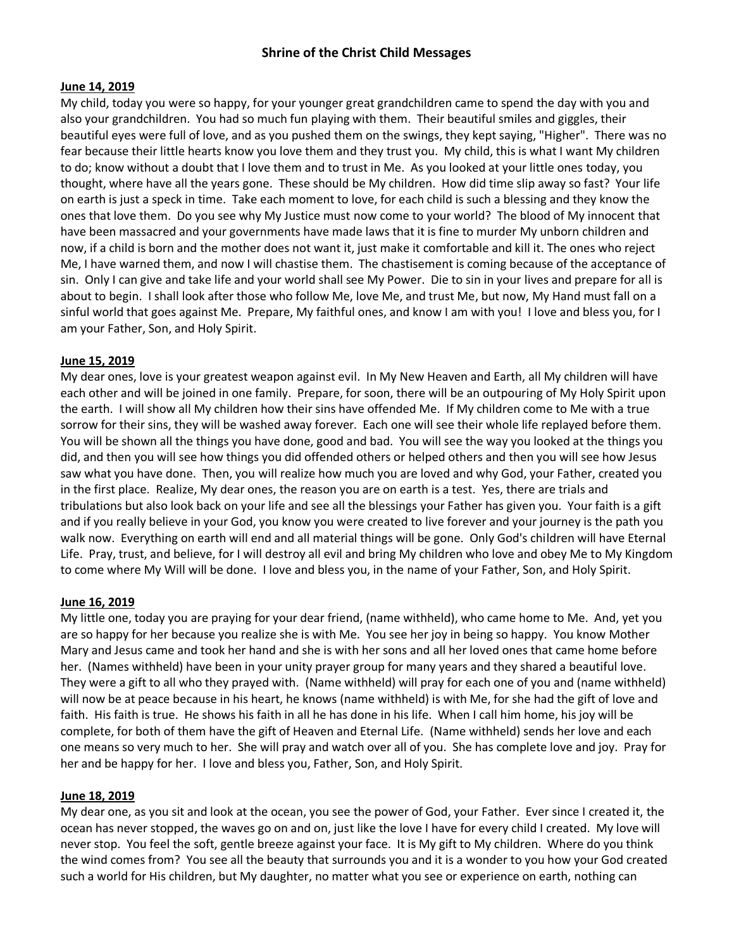### **June 14, 2019**

My child, today you were so happy, for your younger great grandchildren came to spend the day with you and also your grandchildren. You had so much fun playing with them. Their beautiful smiles and giggles, their beautiful eyes were full of love, and as you pushed them on the swings, they kept saying, "Higher". There was no fear because their little hearts know you love them and they trust you. My child, this is what I want My children to do; know without a doubt that I love them and to trust in Me. As you looked at your little ones today, you thought, where have all the years gone. These should be My children. How did time slip away so fast? Your life on earth is just a speck in time. Take each moment to love, for each child is such a blessing and they know the ones that love them. Do you see why My Justice must now come to your world? The blood of My innocent that have been massacred and your governments have made laws that it is fine to murder My unborn children and now, if a child is born and the mother does not want it, just make it comfortable and kill it. The ones who reject Me, I have warned them, and now I will chastise them. The chastisement is coming because of the acceptance of sin. Only I can give and take life and your world shall see My Power. Die to sin in your lives and prepare for all is about to begin. I shall look after those who follow Me, love Me, and trust Me, but now, My Hand must fall on a sinful world that goes against Me. Prepare, My faithful ones, and know I am with you! I love and bless you, for I am your Father, Son, and Holy Spirit.

#### **June 15, 2019**

My dear ones, love is your greatest weapon against evil. In My New Heaven and Earth, all My children will have each other and will be joined in one family. Prepare, for soon, there will be an outpouring of My Holy Spirit upon the earth. I will show all My children how their sins have offended Me. If My children come to Me with a true sorrow for their sins, they will be washed away forever. Each one will see their whole life replayed before them. You will be shown all the things you have done, good and bad. You will see the way you looked at the things you did, and then you will see how things you did offended others or helped others and then you will see how Jesus saw what you have done. Then, you will realize how much you are loved and why God, your Father, created you in the first place. Realize, My dear ones, the reason you are on earth is a test. Yes, there are trials and tribulations but also look back on your life and see all the blessings your Father has given you. Your faith is a gift and if you really believe in your God, you know you were created to live forever and your journey is the path you walk now. Everything on earth will end and all material things will be gone. Only God's children will have Eternal Life. Pray, trust, and believe, for I will destroy all evil and bring My children who love and obey Me to My Kingdom to come where My Will will be done. I love and bless you, in the name of your Father, Son, and Holy Spirit.

#### **June 16, 2019**

My little one, today you are praying for your dear friend, (name withheld), who came home to Me. And, yet you are so happy for her because you realize she is with Me. You see her joy in being so happy. You know Mother Mary and Jesus came and took her hand and she is with her sons and all her loved ones that came home before her. (Names withheld) have been in your unity prayer group for many years and they shared a beautiful love. They were a gift to all who they prayed with. (Name withheld) will pray for each one of you and (name withheld) will now be at peace because in his heart, he knows (name withheld) is with Me, for she had the gift of love and faith. His faith is true. He shows his faith in all he has done in his life. When I call him home, his joy will be complete, for both of them have the gift of Heaven and Eternal Life. (Name withheld) sends her love and each one means so very much to her. She will pray and watch over all of you. She has complete love and joy. Pray for her and be happy for her. I love and bless you, Father, Son, and Holy Spirit.

#### **June 18, 2019**

My dear one, as you sit and look at the ocean, you see the power of God, your Father. Ever since I created it, the ocean has never stopped, the waves go on and on, just like the love I have for every child I created. My love will never stop. You feel the soft, gentle breeze against your face. It is My gift to My children. Where do you think the wind comes from? You see all the beauty that surrounds you and it is a wonder to you how your God created such a world for His children, but My daughter, no matter what you see or experience on earth, nothing can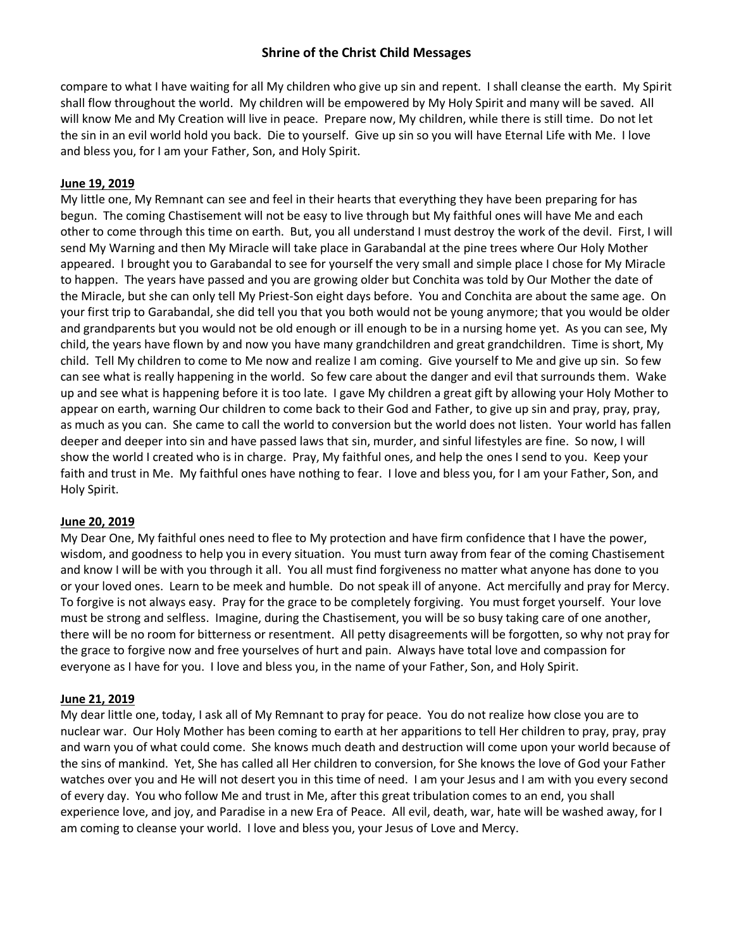compare to what I have waiting for all My children who give up sin and repent. I shall cleanse the earth. My Spirit shall flow throughout the world. My children will be empowered by My Holy Spirit and many will be saved. All will know Me and My Creation will live in peace. Prepare now, My children, while there is still time. Do not let the sin in an evil world hold you back. Die to yourself. Give up sin so you will have Eternal Life with Me. I love and bless you, for I am your Father, Son, and Holy Spirit.

### **June 19, 2019**

My little one, My Remnant can see and feel in their hearts that everything they have been preparing for has begun. The coming Chastisement will not be easy to live through but My faithful ones will have Me and each other to come through this time on earth. But, you all understand I must destroy the work of the devil. First, I will send My Warning and then My Miracle will take place in Garabandal at the pine trees where Our Holy Mother appeared. I brought you to Garabandal to see for yourself the very small and simple place I chose for My Miracle to happen. The years have passed and you are growing older but Conchita was told by Our Mother the date of the Miracle, but she can only tell My Priest-Son eight days before. You and Conchita are about the same age. On your first trip to Garabandal, she did tell you that you both would not be young anymore; that you would be older and grandparents but you would not be old enough or ill enough to be in a nursing home yet. As you can see, My child, the years have flown by and now you have many grandchildren and great grandchildren. Time is short, My child. Tell My children to come to Me now and realize I am coming. Give yourself to Me and give up sin. So few can see what is really happening in the world. So few care about the danger and evil that surrounds them. Wake up and see what is happening before it is too late. I gave My children a great gift by allowing your Holy Mother to appear on earth, warning Our children to come back to their God and Father, to give up sin and pray, pray, pray, as much as you can. She came to call the world to conversion but the world does not listen. Your world has fallen deeper and deeper into sin and have passed laws that sin, murder, and sinful lifestyles are fine. So now, I will show the world I created who is in charge. Pray, My faithful ones, and help the ones I send to you. Keep your faith and trust in Me. My faithful ones have nothing to fear. I love and bless you, for I am your Father, Son, and Holy Spirit.

### **June 20, 2019**

My Dear One, My faithful ones need to flee to My protection and have firm confidence that I have the power, wisdom, and goodness to help you in every situation. You must turn away from fear of the coming Chastisement and know I will be with you through it all. You all must find forgiveness no matter what anyone has done to you or your loved ones. Learn to be meek and humble. Do not speak ill of anyone. Act mercifully and pray for Mercy. To forgive is not always easy. Pray for the grace to be completely forgiving. You must forget yourself. Your love must be strong and selfless. Imagine, during the Chastisement, you will be so busy taking care of one another, there will be no room for bitterness or resentment. All petty disagreements will be forgotten, so why not pray for the grace to forgive now and free yourselves of hurt and pain. Always have total love and compassion for everyone as I have for you. I love and bless you, in the name of your Father, Son, and Holy Spirit.

### **June 21, 2019**

My dear little one, today, I ask all of My Remnant to pray for peace. You do not realize how close you are to nuclear war. Our Holy Mother has been coming to earth at her apparitions to tell Her children to pray, pray, pray and warn you of what could come. She knows much death and destruction will come upon your world because of the sins of mankind. Yet, She has called all Her children to conversion, for She knows the love of God your Father watches over you and He will not desert you in this time of need. I am your Jesus and I am with you every second of every day. You who follow Me and trust in Me, after this great tribulation comes to an end, you shall experience love, and joy, and Paradise in a new Era of Peace. All evil, death, war, hate will be washed away, for I am coming to cleanse your world. I love and bless you, your Jesus of Love and Mercy.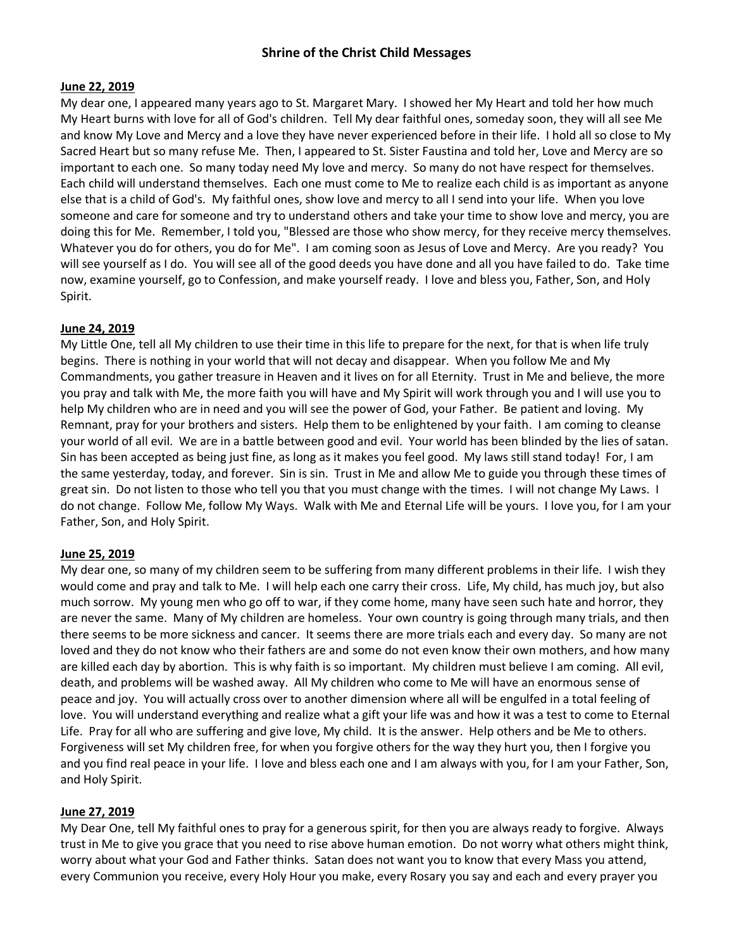### **June 22, 2019**

My dear one, I appeared many years ago to St. Margaret Mary. I showed her My Heart and told her how much My Heart burns with love for all of God's children. Tell My dear faithful ones, someday soon, they will all see Me and know My Love and Mercy and a love they have never experienced before in their life. I hold all so close to My Sacred Heart but so many refuse Me. Then, I appeared to St. Sister Faustina and told her, Love and Mercy are so important to each one. So many today need My love and mercy. So many do not have respect for themselves. Each child will understand themselves. Each one must come to Me to realize each child is as important as anyone else that is a child of God's. My faithful ones, show love and mercy to all I send into your life. When you love someone and care for someone and try to understand others and take your time to show love and mercy, you are doing this for Me. Remember, I told you, "Blessed are those who show mercy, for they receive mercy themselves. Whatever you do for others, you do for Me". I am coming soon as Jesus of Love and Mercy. Are you ready? You will see yourself as I do. You will see all of the good deeds you have done and all you have failed to do. Take time now, examine yourself, go to Confession, and make yourself ready. I love and bless you, Father, Son, and Holy Spirit.

#### **June 24, 2019**

My Little One, tell all My children to use their time in this life to prepare for the next, for that is when life truly begins. There is nothing in your world that will not decay and disappear. When you follow Me and My Commandments, you gather treasure in Heaven and it lives on for all Eternity. Trust in Me and believe, the more you pray and talk with Me, the more faith you will have and My Spirit will work through you and I will use you to help My children who are in need and you will see the power of God, your Father. Be patient and loving. My Remnant, pray for your brothers and sisters. Help them to be enlightened by your faith. I am coming to cleanse your world of all evil. We are in a battle between good and evil. Your world has been blinded by the lies of satan. Sin has been accepted as being just fine, as long as it makes you feel good. My laws still stand today! For, I am the same yesterday, today, and forever. Sin is sin. Trust in Me and allow Me to guide you through these times of great sin. Do not listen to those who tell you that you must change with the times. I will not change My Laws. I do not change. Follow Me, follow My Ways. Walk with Me and Eternal Life will be yours. I love you, for I am your Father, Son, and Holy Spirit.

#### **June 25, 2019**

My dear one, so many of my children seem to be suffering from many different problems in their life. I wish they would come and pray and talk to Me. I will help each one carry their cross. Life, My child, has much joy, but also much sorrow. My young men who go off to war, if they come home, many have seen such hate and horror, they are never the same. Many of My children are homeless. Your own country is going through many trials, and then there seems to be more sickness and cancer. It seems there are more trials each and every day. So many are not loved and they do not know who their fathers are and some do not even know their own mothers, and how many are killed each day by abortion. This is why faith is so important. My children must believe I am coming. All evil, death, and problems will be washed away. All My children who come to Me will have an enormous sense of peace and joy. You will actually cross over to another dimension where all will be engulfed in a total feeling of love. You will understand everything and realize what a gift your life was and how it was a test to come to Eternal Life. Pray for all who are suffering and give love, My child. It is the answer. Help others and be Me to others. Forgiveness will set My children free, for when you forgive others for the way they hurt you, then I forgive you and you find real peace in your life. I love and bless each one and I am always with you, for I am your Father, Son, and Holy Spirit.

### **June 27, 2019**

My Dear One, tell My faithful ones to pray for a generous spirit, for then you are always ready to forgive. Always trust in Me to give you grace that you need to rise above human emotion. Do not worry what others might think, worry about what your God and Father thinks. Satan does not want you to know that every Mass you attend, every Communion you receive, every Holy Hour you make, every Rosary you say and each and every prayer you